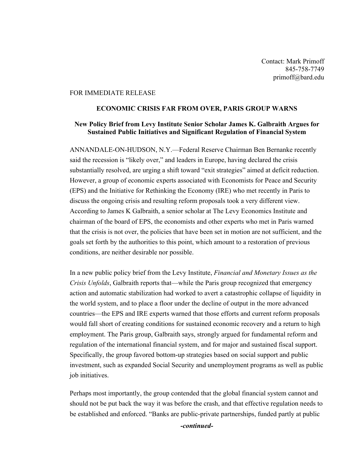Contact: Mark Primoff 845-758-7749 primoff@bard.edu

## FOR IMMEDIATE RELEASE

## **ECONOMIC CRISIS FAR FROM OVER, PARIS GROUP WARNS**

## **New Policy Brief from Levy Institute Senior Scholar James K. Galbraith Argues for Sustained Public Initiatives and Significant Regulation of Financial System**

ANNANDALE-ON-HUDSON, N.Y.—Federal Reserve Chairman Ben Bernanke recently said the recession is "likely over," and leaders in Europe, having declared the crisis substantially resolved, are urging a shift toward "exit strategies" aimed at deficit reduction. However, a group of economic experts associated with Economists for Peace and Security (EPS) and the Initiative for Rethinking the Economy (IRE) who met recently in Paris to discuss the ongoing crisis and resulting reform proposals took a very different view. According to James K Galbraith, a senior scholar at The Levy Economics Institute and chairman of the board of EPS, the economists and other experts who met in Paris warned that the crisis is not over, the policies that have been set in motion are not sufficient, and the goals set forth by the authorities to this point, which amount to a restoration of previous conditions, are neither desirable nor possible.

In a new public policy brief from the Levy Institute, *Financial and Monetary Issues as the Crisis Unfolds*, Galbraith reports that—while the Paris group recognized that emergency action and automatic stabilization had worked to avert a catastrophic collapse of liquidity in the world system, and to place a floor under the decline of output in the more advanced countries—the EPS and IRE experts warned that those efforts and current reform proposals would fall short of creating conditions for sustained economic recovery and a return to high employment. The Paris group, Galbraith says, strongly argued for fundamental reform and regulation of the international financial system, and for major and sustained fiscal support. Specifically, the group favored bottom-up strategies based on social support and public investment, such as expanded Social Security and unemployment programs as well as public job initiatives.

Perhaps most importantly, the group contended that the global financial system cannot and should not be put back the way it was before the crash, and that effective regulation needs to be established and enforced. "Banks are public-private partnerships, funded partly at public

*-continued-*